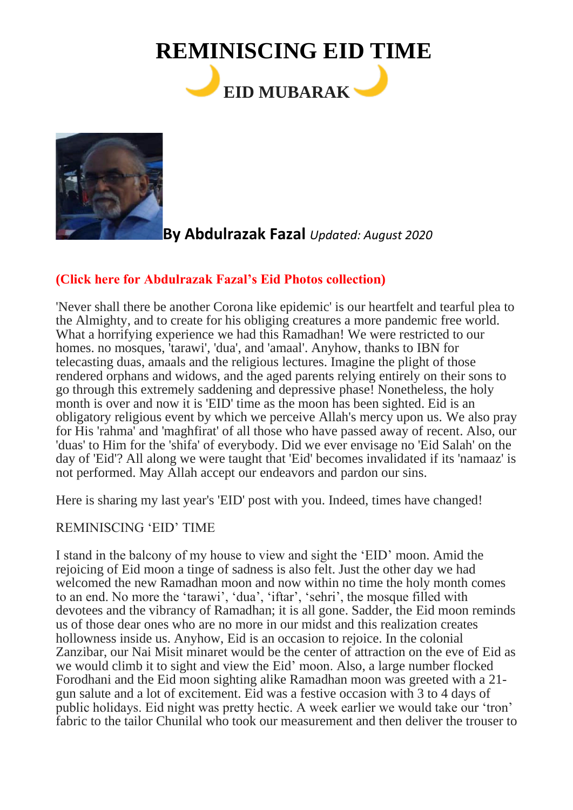# **REMINISCING EID TIME EID MUBARAK**



# **By Abdulrazak Fazal** *Updated: August 2020*

## **[\(Click here for Abdulrazak Fazal's Eid Photos collection\)](http://www.dewani.ca/2020NEW/Others/July2020/ADD/AF/Eid/AFeidPics.htm)**

'Never shall there be another Corona like epidemic' is our heartfelt and tearful plea to the Almighty, and to create for his obliging creatures a more pandemic free world. What a horrifying experience we had this Ramadhan! We were restricted to our homes. no mosques, 'tarawi', 'dua', and 'amaal'. Anyhow, thanks to IBN for telecasting duas, amaals and the religious lectures. Imagine the plight of those rendered orphans and widows, and the aged parents relying entirely on their sons to go through this extremely saddening and depressive phase! Nonetheless, the holy month is over and now it is 'EID' time as the moon has been sighted. Eid is an obligatory religious event by which we perceive Allah's mercy upon us. We also pray for His 'rahma' and 'maghfirat' of all those who have passed away of recent. Also, our 'duas' to Him for the 'shifa' of everybody. Did we ever envisage no 'Eid Salah' on the day of 'Eid'? All along we were taught that 'Eid' becomes invalidated if its 'namaaz' is not performed. May Allah accept our endeavors and pardon our sins.

Here is sharing my last year's 'EID' post with you. Indeed, times have changed!

### REMINISCING 'EID' TIME

I stand in the balcony of my house to view and sight the 'EID' moon. Amid the rejoicing of Eid moon a tinge of sadness is also felt. Just the other day we had welcomed the new Ramadhan moon and now within no time the holy month comes to an end. No more the 'tarawi', 'dua', 'iftar', 'sehri', the mosque filled with devotees and the vibrancy of Ramadhan; it is all gone. Sadder, the Eid moon reminds us of those dear ones who are no more in our midst and this realization creates hollowness inside us. Anyhow, Eid is an occasion to rejoice. In the colonial Zanzibar, our Nai Misit minaret would be the center of attraction on the eve of Eid as we would climb it to sight and view the Eid' moon. Also, a large number flocked Forodhani and the Eid moon sighting alike Ramadhan moon was greeted with a 21 gun salute and a lot of excitement. Eid was a festive occasion with 3 to 4 days of public holidays. Eid night was pretty hectic. A week earlier we would take our 'tron' fabric to the tailor Chunilal who took our measurement and then deliver the trouser to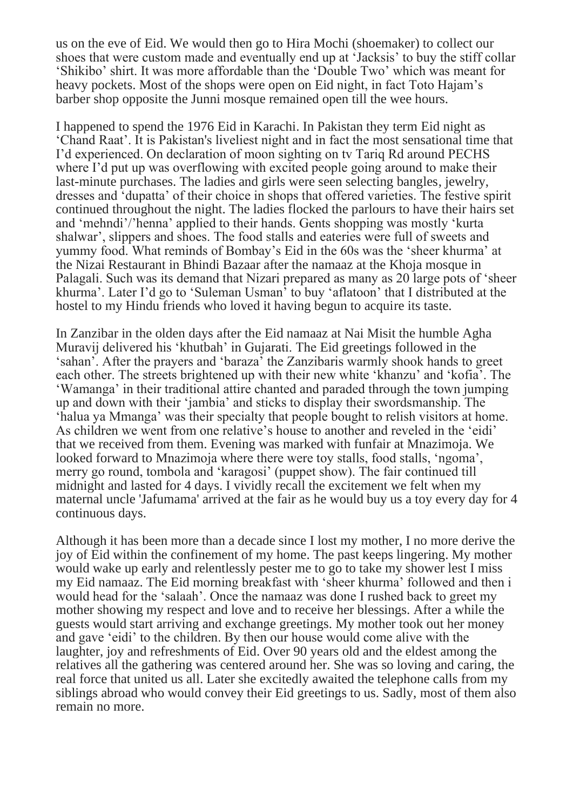us on the eve of Eid. We would then go to Hira Mochi (shoemaker) to collect our shoes that were custom made and eventually end up at 'Jacksis' to buy the stiff collar 'Shikibo' shirt. It was more affordable than the 'Double Two' which was meant for heavy pockets. Most of the shops were open on Eid night, in fact Toto Hajam's barber shop opposite the Junni mosque remained open till the wee hours.

I happened to spend the 1976 Eid in Karachi. In Pakistan they term Eid night as 'Chand Raat'. It is Pakistan's liveliest night and in fact the most sensational time that I'd experienced. On declaration of moon sighting on tv Tariq Rd around PECHS where I'd put up was overflowing with excited people going around to make their last-minute purchases. The ladies and girls were seen selecting bangles, jewelry, dresses and 'dupatta' of their choice in shops that offered varieties. The festive spirit continued throughout the night. The ladies flocked the parlours to have their hairs set and 'mehndi'/'henna' applied to their hands. Gents shopping was mostly 'kurta shalwar', slippers and shoes. The food stalls and eateries were full of sweets and yummy food. What reminds of Bombay's Eid in the 60s was the 'sheer khurma' at the Nizai Restaurant in Bhindi Bazaar after the namaaz at the Khoja mosque in Palagali. Such was its demand that Nizari prepared as many as 20 large pots of 'sheer khurma'. Later I'd go to 'Suleman Usman' to buy 'aflatoon' that I distributed at the hostel to my Hindu friends who loved it having begun to acquire its taste.

In Zanzibar in the olden days after the Eid namaaz at Nai Misit the humble Agha Muravij delivered his 'khutbah' in Gujarati. The Eid greetings followed in the 'sahan'. After the prayers and 'baraza' the Zanzibaris warmly shook hands to greet each other. The streets brightened up with their new white 'khanzu' and 'kofia'. The 'Wamanga' in their traditional attire chanted and paraded through the town jumping up and down with their 'jambia' and sticks to display their swordsmanship. The 'halua ya Mmanga' was their specialty that people bought to relish visitors at home. As children we went from one relative's house to another and reveled in the 'eidi' that we received from them. Evening was marked with funfair at Mnazimoja. We looked forward to Mnazimoja where there were toy stalls, food stalls, 'ngoma', merry go round, tombola and 'karagosi' (puppet show). The fair continued till midnight and lasted for 4 days. I vividly recall the excitement we felt when my maternal uncle 'Jafumama' arrived at the fair as he would buy us a toy every day for 4 continuous days.

Although it has been more than a decade since I lost my mother, I no more derive the joy of Eid within the confinement of my home. The past keeps lingering. My mother would wake up early and relentlessly pester me to go to take my shower lest I miss my Eid namaaz. The Eid morning breakfast with 'sheer khurma' followed and then i would head for the 'salaah'. Once the namaaz was done I rushed back to greet my mother showing my respect and love and to receive her blessings. After a while the guests would start arriving and exchange greetings. My mother took out her money and gave 'eidi' to the children. By then our house would come alive with the laughter, joy and refreshments of Eid. Over 90 years old and the eldest among the relatives all the gathering was centered around her. She was so loving and caring, the real force that united us all. Later she excitedly awaited the telephone calls from my siblings abroad who would convey their Eid greetings to us. Sadly, most of them also remain no more.